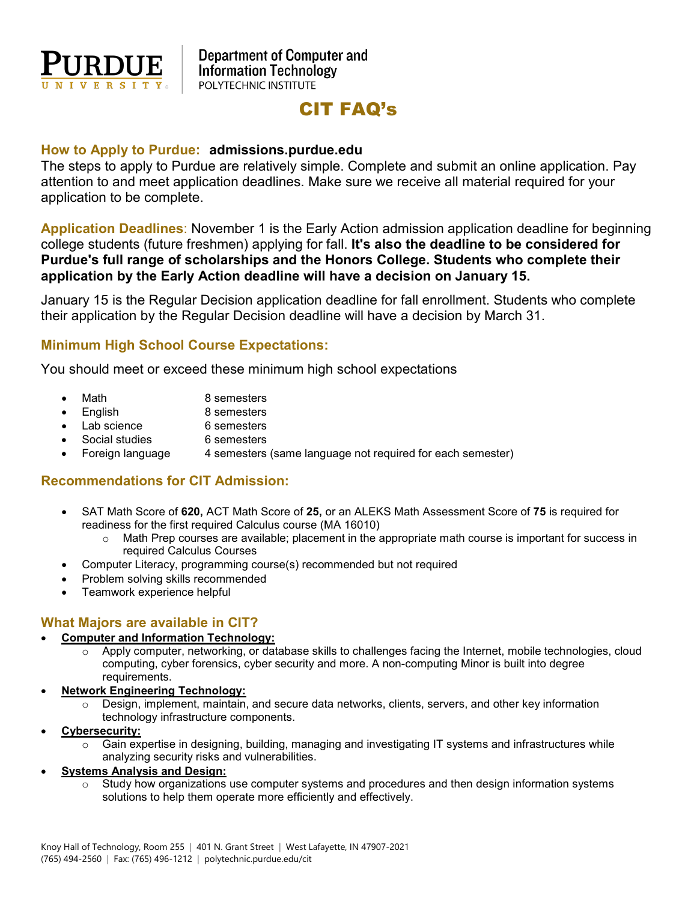

# CIT FAQ's

#### **How to Apply to Purdue: admissions.purdue.edu**

The steps to apply to Purdue are relatively simple. Complete and submit an online application. Pay attention to and meet application deadlines. Make sure we receive all material required for your application to be complete.

**Application Deadlines**: November 1 is the Early Action admission application deadline for beginning college students (future freshmen) applying for fall. **It's also the deadline to be considered for Purdue's full range of scholarships and the Honors College. Students who complete their application by the Early Action deadline will have a decision on January 15.**

January 15 is the Regular Decision application deadline for fall enrollment. Students who complete their application by the Regular Decision deadline will have a decision by March 31.

# **Minimum High School Course Expectations:**

You should meet or exceed these minimum high school expectations

- Math 8 semesters
- English 8 semesters
- Lab science 6 semesters
- Social studies 6 semesters
- Foreign language 4 semesters (same language not required for each semester)

# **Recommendations for CIT Admission:**

- SAT Math Score of **620,** ACT Math Score of **25,** or an ALEKS Math Assessment Score of **75** is required for readiness for the first required Calculus course (MA 16010)
	- $\circ$  Math Prep courses are available; placement in the appropriate math course is important for success in required Calculus Courses
- Computer Literacy, programming course(s) recommended but not required
- Problem solving skills recommended
- Teamwork experience helpful

#### **What Majors are available in CIT?**

#### • **Computer and Information Technology:**

- o Apply computer, networking, or database skills to challenges facing the Internet, mobile technologies, cloud computing, cyber forensics, cyber security and more. A non-computing Minor is built into degree requirements.
- **Network Engineering Technology:**
	- Design, implement, maintain, and secure data networks, clients, servers, and other key information technology infrastructure components.
- **Cybersecurity:**
	- Gain expertise in designing, building, managing and investigating IT systems and infrastructures while analyzing security risks and vulnerabilities.
- **Systems Analysis and Design:**
	- $\circ$  Study how organizations use computer systems and procedures and then design information systems solutions to help them operate more efficiently and effectively.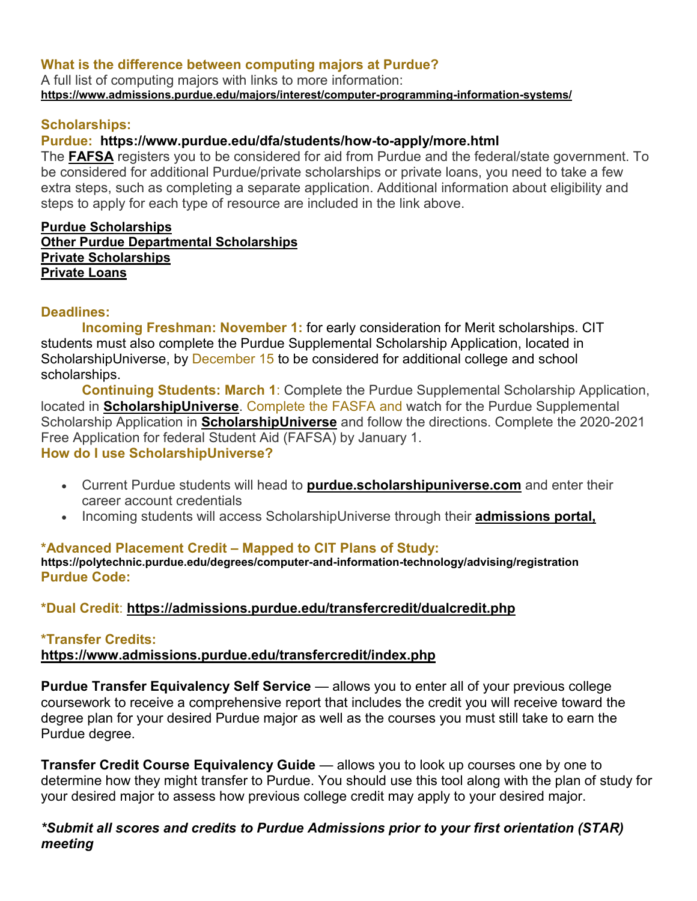# **What is the difference between computing majors at Purdue?**

A full list of computing majors with links to more information: **<https://www.admissions.purdue.edu/majors/interest/computer-programming-information-systems/>**

# **Scholarships:**

# **Purdue: <https://www.purdue.edu/dfa/students/how-to-apply/more.html>**

The **[FAFSA](https://www.purdue.edu/dfa/students/how-to-apply/fafsa.html)** registers you to be considered for aid from Purdue and the federal/state government. To be considered for additional Purdue/private scholarships or private loans, you need to take a few extra steps, such as completing a separate application. Additional information about eligibility and steps to apply for each type of resource are included in the link above.

#### **[Purdue Scholarships](https://www.purdue.edu/dfa/students/how-to-apply/more.html#purdue) [Other Purdue Departmental Scholarships](https://www.purdue.edu/dfa/students/how-to-apply/more.html#department) [Private Scholarships](https://www.purdue.edu/dfa/students/how-to-apply/more.html#privateschol) [Private Loans](https://www.purdue.edu/dfa/students/how-to-apply/more.html#privateloan)**

# **Deadlines:**

**Incoming Freshman: November 1:** for early consideration for Merit scholarships. CIT students must also complete the Purdue Supplemental Scholarship Application, located in ScholarshipUniverse, by December 15 to be considered for additional college and school scholarships.

**Continuing Students: March 1**: Complete the Purdue Supplemental Scholarship Application, located in **[ScholarshipUniverse](https://purdue.scholarshipuniverse.com/)**. Complete the FASFA and watch for the Purdue Supplemental Scholarship Application in **[ScholarshipUniverse](https://purdue.scholarshipuniverse.com/)** and follow the directions. Complete the 2020-2021 Free Application for federal Student Aid (FAFSA) by January 1. **How do I use ScholarshipUniverse?**

- Current Purdue students will head to **[purdue.scholarshipuniverse.com](https://purdue.scholarshipuniverse.com/)** and enter their career account credentials
- Incoming students will access ScholarshipUniverse through their **[admissions portal,](https://www.admissions.purdue.edu/apply/applicationstatus.php)**

# **\*Advanced Placement Credit – Mapped to CIT Plans of Study:**

**<https://polytechnic.purdue.edu/degrees/computer-and-information-technology/advising/registration> Purdue Code:** 

# **\*Dual Credit**: **<https://admissions.purdue.edu/transfercredit/dualcredit.php>**

# **\*Transfer Credits:**

# **<https://www.admissions.purdue.edu/transfercredit/index.php>**

**Purdue Transfer Equivalency Self Service** — allows you to enter all of your previous college coursework to receive a comprehensive report that includes the credit you will receive toward the degree plan for your desired Purdue major as well as the courses you must still take to earn the Purdue degree.

**Transfer Credit Course Equivalency Guide** — allows you to look up courses one by one to determine how they might transfer to Purdue. You should use this tool along with the plan of study for your desired major to assess how previous college credit may apply to your desired major.

# *\*Submit all scores and credits to Purdue Admissions prior to your first orientation (STAR) meeting*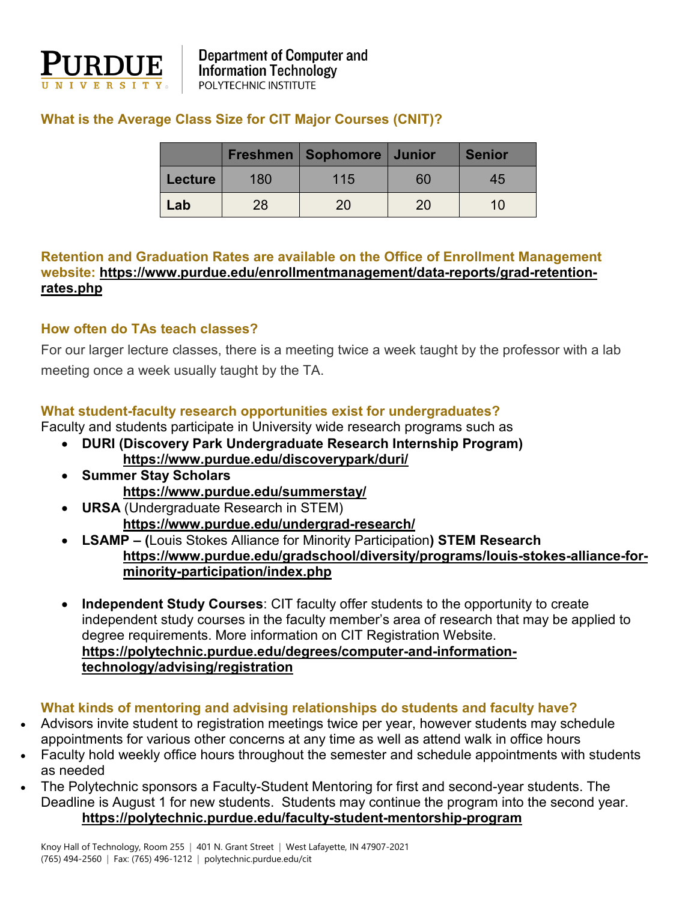

# **What is the Average Class Size for CIT Major Courses (CNIT)?**

|         |     | Freshmen   Sophomore   Junior |    | <b>Senior</b> |
|---------|-----|-------------------------------|----|---------------|
| Lecture | 180 | 115                           | 60 | 45            |
| Lab     | 28  | 20                            | 20 | 10            |

# **Retention and Graduation Rates are available on the Office of Enrollment Management website: [https://www.purdue.edu/enrollmentmanagement/data-reports/grad-retention](https://www.purdue.edu/enrollmentmanagement/data-reports/grad-retention-rates.php)[rates.php](https://www.purdue.edu/enrollmentmanagement/data-reports/grad-retention-rates.php)**

# **How often do TAs teach classes?**

For our larger lecture classes, there is a meeting twice a week taught by the professor with a lab meeting once a week usually taught by the TA.

# **What student-faculty research opportunities exist for undergraduates?**

Faculty and students participate in University wide research programs such as

- **DURI (Discovery Park Undergraduate Research Internship Program) <https://www.purdue.edu/discoverypark/duri/>**
- **Summer Stay Scholars <https://www.purdue.edu/summerstay/>**
- **URSA** (Undergraduate Research in STEM) **<https://www.purdue.edu/undergrad-research/>**
- **LSAMP – (**Louis Stokes Alliance for Minority Participation**) STEM Research [https://www.purdue.edu/gradschool/diversity/programs/louis-stokes-alliance-for](https://www.purdue.edu/gradschool/diversity/programs/louis-stokes-alliance-for-minority-participation/index.php)[minority-participation/index.php](https://www.purdue.edu/gradschool/diversity/programs/louis-stokes-alliance-for-minority-participation/index.php)**
- **Independent Study Courses**: CIT faculty offer students to the opportunity to create independent study courses in the faculty member's area of research that may be applied to degree requirements. More information on CIT Registration Website. **[https://polytechnic.purdue.edu/degrees/computer-and-information](https://polytechnic.purdue.edu/degrees/computer-and-information-technology/advising/registration)[technology/advising/registration](https://polytechnic.purdue.edu/degrees/computer-and-information-technology/advising/registration)**

# **What kinds of mentoring and advising relationships do students and faculty have?**

- Advisors invite student to registration meetings twice per year, however students may schedule appointments for various other concerns at any time as well as attend walk in office hours
- Faculty hold weekly office hours throughout the semester and schedule appointments with students as needed
- The Polytechnic sponsors a Faculty-Student Mentoring for first and second-year students. The Deadline is August 1 for new students. Students may continue the program into the second year. **<https://polytechnic.purdue.edu/faculty-student-mentorship-program>**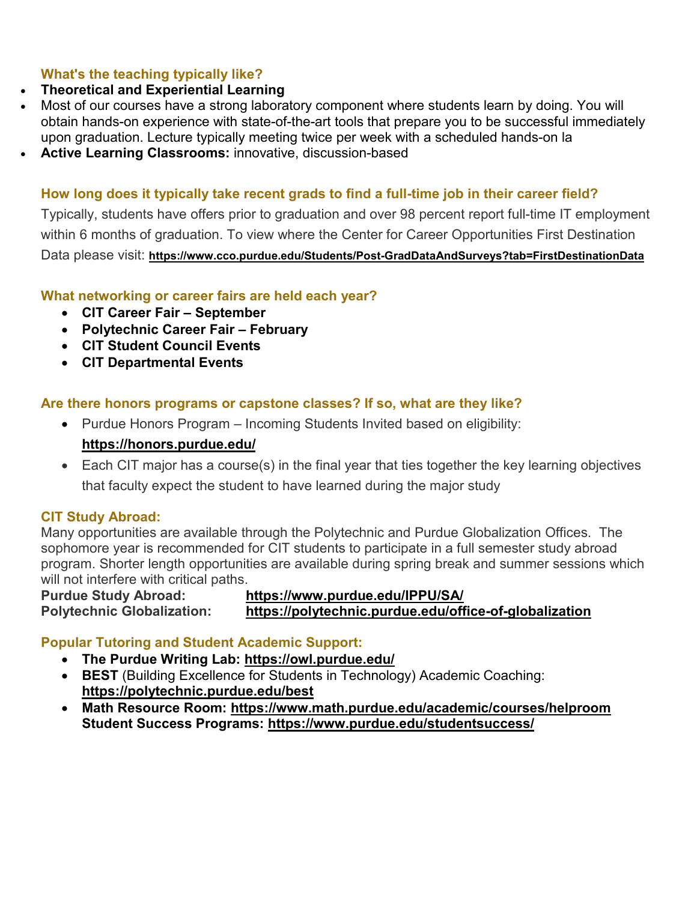# **What's the teaching typically like?**

# • **Theoretical and Experiential Learning**

- Most of our courses have a strong laboratory component where students learn by doing. You will obtain hands-on experience with state-of-the-art tools that prepare you to be successful immediately upon graduation. Lecture typically meeting twice per week with a scheduled hands-on la
- **Active Learning Classrooms:** innovative, discussion-based

# **How long does it typically take recent grads to find a full-time job in their career field?**

Typically, students have offers prior to graduation and over 98 percent report full-time IT employment within 6 months of graduation. To view where the Center for Career Opportunities First Destination Data please visit: **<https://www.cco.purdue.edu/Students/Post-GradDataAndSurveys?tab=FirstDestinationData>**

# **What networking or career fairs are held each year?**

- **CIT Career Fair – September**
- **Polytechnic Career Fair – February**
- **CIT Student Council Events**
- **CIT Departmental Events**

# **Are there honors programs or capstone classes? If so, what are they like?**

- Purdue Honors Program Incoming Students Invited based on eligibility: **<https://honors.purdue.edu/>**
- Each CIT major has a course(s) in the final year that ties together the key learning objectives that faculty expect the student to have learned during the major study

# **CIT Study Abroad:**

Many opportunities are available through the Polytechnic and Purdue Globalization Offices. The sophomore year is recommended for CIT students to participate in a full semester study abroad program. Shorter length opportunities are available during spring break and summer sessions which will not interfere with critical paths.

# **Purdue Study Abroad: https://www.purdue.edu/IPPU/SA/ Polytechnic Globalization: https://polytechnic.purdue.edu/office-of-globalization**

# **Popular Tutoring and Student Academic Support:**

- **The Purdue Writing Lab:<https://owl.purdue.edu/>**
- **BEST** (Building Excellence for Students in Technology) Academic Coaching: **<https://polytechnic.purdue.edu/best>**
- **Math Resource Room:<https://www.math.purdue.edu/academic/courses/helproom> Student Success Programs:<https://www.purdue.edu/studentsuccess/>**